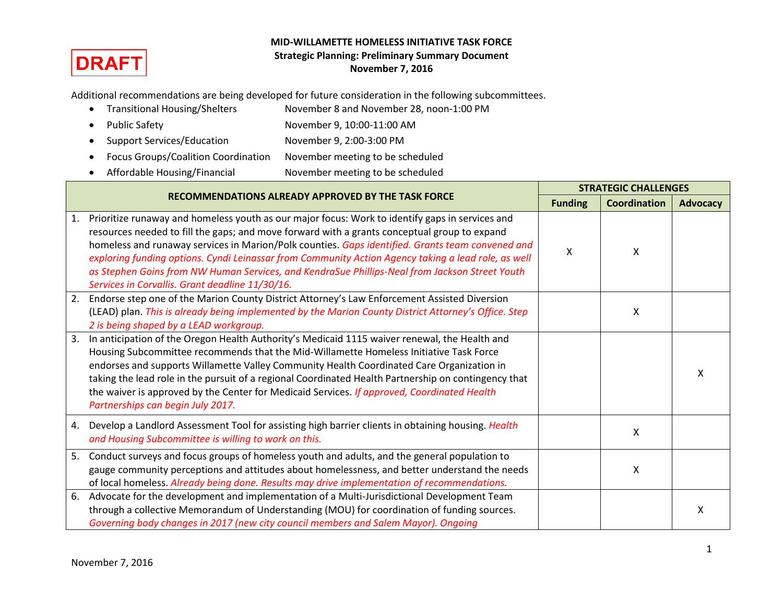

## **MID-WILLAMETTE HOMELESS INITIATIVE TASK FORCE Strategic Planning: Preliminary Summary Document November 7, 2016**

Additional recommendations are being developed for future consideration in the following subcommittees.

- Transitional Housing/Shelters November 8 and November 28, noon-1:00 PM Public Safety November 9, 10:00-11:00 AM • Support Services/Education November 9, 2:00-3:00 PM
- Focus Groups/Coalition Coordination November meeting to be scheduled
- Affordable Housing/Financial November meeting to be scheduled

|    | <b>RECOMMENDATIONS ALREADY APPROVED BY THE TASK FORCE</b>                                                                                                                                                                                                                                                                                                                                                                                                                                                                                                       | <b>STRATEGIC CHALLENGES</b> |                     |                 |
|----|-----------------------------------------------------------------------------------------------------------------------------------------------------------------------------------------------------------------------------------------------------------------------------------------------------------------------------------------------------------------------------------------------------------------------------------------------------------------------------------------------------------------------------------------------------------------|-----------------------------|---------------------|-----------------|
|    |                                                                                                                                                                                                                                                                                                                                                                                                                                                                                                                                                                 | <b>Funding</b>              | <b>Coordination</b> | <b>Advocacy</b> |
| 1. | Prioritize runaway and homeless youth as our major focus: Work to identify gaps in services and<br>resources needed to fill the gaps; and move forward with a grants conceptual group to expand<br>homeless and runaway services in Marion/Polk counties. Gaps identified. Grants team convened and<br>exploring funding options. Cyndi Leinassar from Community Action Agency taking a lead role, as well<br>as Stephen Goins from NW Human Services, and KendraSue Phillips-Neal from Jackson Street Youth<br>Services in Corvallis. Grant deadline 11/30/16. | X                           | X                   |                 |
| 2. | Endorse step one of the Marion County District Attorney's Law Enforcement Assisted Diversion<br>(LEAD) plan. This is already being implemented by the Marion County District Attorney's Office. Step<br>2 is being shaped by a LEAD workgroup.                                                                                                                                                                                                                                                                                                                  |                             | Χ                   |                 |
| 3. | In anticipation of the Oregon Health Authority's Medicaid 1115 waiver renewal, the Health and<br>Housing Subcommittee recommends that the Mid-Willamette Homeless Initiative Task Force<br>endorses and supports Willamette Valley Community Health Coordinated Care Organization in<br>taking the lead role in the pursuit of a regional Coordinated Health Partnership on contingency that<br>the waiver is approved by the Center for Medicaid Services. If approved, Coordinated Health<br>Partnerships can begin July 2017.                                |                             |                     | X               |
| 4. | Develop a Landlord Assessment Tool for assisting high barrier clients in obtaining housing. Health<br>and Housing Subcommittee is willing to work on this.                                                                                                                                                                                                                                                                                                                                                                                                      |                             | Χ                   |                 |
| 5. | Conduct surveys and focus groups of homeless youth and adults, and the general population to<br>gauge community perceptions and attitudes about homelessness, and better understand the needs<br>of local homeless. Already being done. Results may drive implementation of recommendations.                                                                                                                                                                                                                                                                    |                             | X                   |                 |
| 6. | Advocate for the development and implementation of a Multi-Jurisdictional Development Team<br>through a collective Memorandum of Understanding (MOU) for coordination of funding sources.<br>Governing body changes in 2017 (new city council members and Salem Mayor). Ongoing                                                                                                                                                                                                                                                                                 |                             |                     | X               |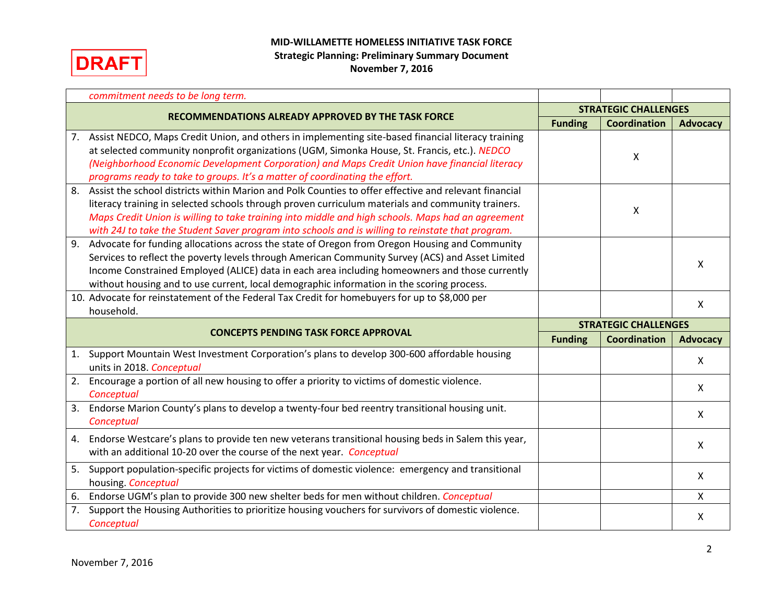

## **MID-WILLAMETTE HOMELESS INITIATIVE TASK FORCE Strategic Planning: Preliminary Summary Document November 7, 2016**

|    | commitment needs to be long term.                                                                     |                             |                             |                           |
|----|-------------------------------------------------------------------------------------------------------|-----------------------------|-----------------------------|---------------------------|
|    | RECOMMENDATIONS ALREADY APPROVED BY THE TASK FORCE                                                    | <b>STRATEGIC CHALLENGES</b> |                             |                           |
|    |                                                                                                       | <b>Funding</b>              | <b>Coordination</b>         | <b>Advocacy</b>           |
| 7. | Assist NEDCO, Maps Credit Union, and others in implementing site-based financial literacy training    |                             |                             |                           |
|    | at selected community nonprofit organizations (UGM, Simonka House, St. Francis, etc.). NEDCO          |                             | X                           |                           |
|    | (Neighborhood Economic Development Corporation) and Maps Credit Union have financial literacy         |                             |                             |                           |
|    | programs ready to take to groups. It's a matter of coordinating the effort.                           |                             |                             |                           |
| 8. | Assist the school districts within Marion and Polk Counties to offer effective and relevant financial |                             |                             |                           |
|    | literacy training in selected schools through proven curriculum materials and community trainers.     |                             | Χ                           |                           |
|    | Maps Credit Union is willing to take training into middle and high schools. Maps had an agreement     |                             |                             |                           |
|    | with 24J to take the Student Saver program into schools and is willing to reinstate that program.     |                             |                             |                           |
| 9. | Advocate for funding allocations across the state of Oregon from Oregon Housing and Community         |                             |                             |                           |
|    | Services to reflect the poverty levels through American Community Survey (ACS) and Asset Limited      |                             |                             | x                         |
|    | Income Constrained Employed (ALICE) data in each area including homeowners and those currently        |                             |                             |                           |
|    | without housing and to use current, local demographic information in the scoring process.             |                             |                             |                           |
|    | 10. Advocate for reinstatement of the Federal Tax Credit for homebuyers for up to \$8,000 per         |                             |                             | $\mathsf{X}$              |
|    |                                                                                                       |                             |                             |                           |
|    | household.                                                                                            |                             |                             |                           |
|    |                                                                                                       |                             | <b>STRATEGIC CHALLENGES</b> |                           |
|    | <b>CONCEPTS PENDING TASK FORCE APPROVAL</b>                                                           | <b>Funding</b>              | <b>Coordination</b>         | <b>Advocacy</b>           |
| 1. | Support Mountain West Investment Corporation's plans to develop 300-600 affordable housing            |                             |                             |                           |
|    | units in 2018. Conceptual                                                                             |                             |                             | $\boldsymbol{\mathsf{X}}$ |
| 2. | Encourage a portion of all new housing to offer a priority to victims of domestic violence.           |                             |                             | Χ                         |
|    | Conceptual                                                                                            |                             |                             |                           |
| 3. | Endorse Marion County's plans to develop a twenty-four bed reentry transitional housing unit.         |                             |                             | X                         |
|    | Conceptual                                                                                            |                             |                             |                           |
| 4. | Endorse Westcare's plans to provide ten new veterans transitional housing beds in Salem this year,    |                             |                             |                           |
|    | with an additional 10-20 over the course of the next year. Conceptual                                 |                             |                             | X                         |
| 5. | Support population-specific projects for victims of domestic violence: emergency and transitional     |                             |                             |                           |
|    | housing. Conceptual                                                                                   |                             |                             | X                         |
| 6. | Endorse UGM's plan to provide 300 new shelter beds for men without children. Conceptual               |                             |                             | Χ                         |
| 7. | Support the Housing Authorities to prioritize housing vouchers for survivors of domestic violence.    |                             |                             | X                         |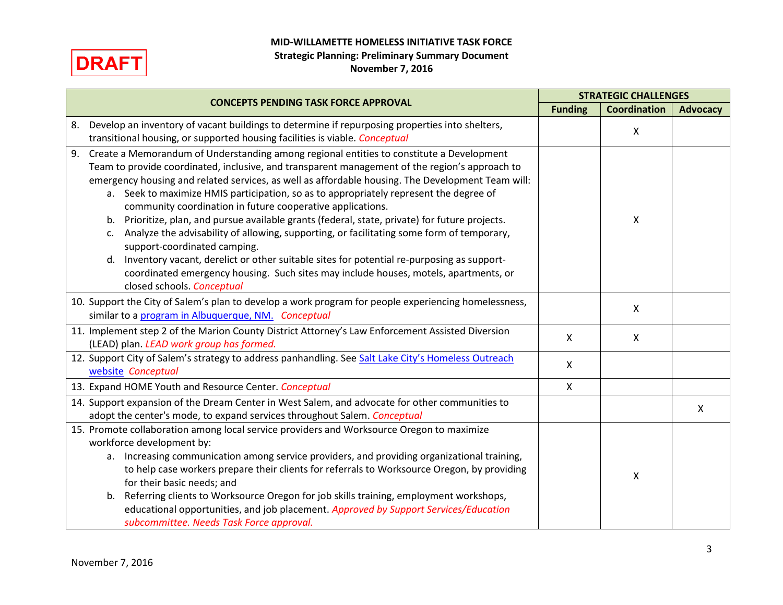**MID-WILLAMETTE HOMELESS INITIATIVE TASK FORCE**



## **Strategic Planning: Preliminary Summary Document November 7, 2016**

| <b>CONCEPTS PENDING TASK FORCE APPROVAL</b>                                                                                                                                                                                                                                                                                                                                                                                                                                                                                                                                                                                                                                                                                                                                                                                                                                                                                        | <b>STRATEGIC CHALLENGES</b> |                     |                           |
|------------------------------------------------------------------------------------------------------------------------------------------------------------------------------------------------------------------------------------------------------------------------------------------------------------------------------------------------------------------------------------------------------------------------------------------------------------------------------------------------------------------------------------------------------------------------------------------------------------------------------------------------------------------------------------------------------------------------------------------------------------------------------------------------------------------------------------------------------------------------------------------------------------------------------------|-----------------------------|---------------------|---------------------------|
|                                                                                                                                                                                                                                                                                                                                                                                                                                                                                                                                                                                                                                                                                                                                                                                                                                                                                                                                    | <b>Funding</b>              | <b>Coordination</b> | <b>Advocacy</b>           |
| Develop an inventory of vacant buildings to determine if repurposing properties into shelters,<br>8.<br>transitional housing, or supported housing facilities is viable. Conceptual                                                                                                                                                                                                                                                                                                                                                                                                                                                                                                                                                                                                                                                                                                                                                |                             | X                   |                           |
| Create a Memorandum of Understanding among regional entities to constitute a Development<br>9.<br>Team to provide coordinated, inclusive, and transparent management of the region's approach to<br>emergency housing and related services, as well as affordable housing. The Development Team will:<br>Seek to maximize HMIS participation, so as to appropriately represent the degree of<br>a.<br>community coordination in future cooperative applications.<br>Prioritize, plan, and pursue available grants (federal, state, private) for future projects.<br>b.<br>Analyze the advisability of allowing, supporting, or facilitating some form of temporary,<br>c.<br>support-coordinated camping.<br>Inventory vacant, derelict or other suitable sites for potential re-purposing as support-<br>d.<br>coordinated emergency housing. Such sites may include houses, motels, apartments, or<br>closed schools. Conceptual |                             | X                   |                           |
| 10. Support the City of Salem's plan to develop a work program for people experiencing homelessness,<br>similar to a program in Albuquerque, NM. Conceptual                                                                                                                                                                                                                                                                                                                                                                                                                                                                                                                                                                                                                                                                                                                                                                        |                             | X                   |                           |
| 11. Implement step 2 of the Marion County District Attorney's Law Enforcement Assisted Diversion<br>(LEAD) plan. LEAD work group has formed.                                                                                                                                                                                                                                                                                                                                                                                                                                                                                                                                                                                                                                                                                                                                                                                       | $\boldsymbol{\mathsf{X}}$   | X                   |                           |
| 12. Support City of Salem's strategy to address panhandling. See Salt Lake City's Homeless Outreach<br>website Conceptual                                                                                                                                                                                                                                                                                                                                                                                                                                                                                                                                                                                                                                                                                                                                                                                                          | $\boldsymbol{\mathsf{X}}$   |                     |                           |
| 13. Expand HOME Youth and Resource Center. Conceptual                                                                                                                                                                                                                                                                                                                                                                                                                                                                                                                                                                                                                                                                                                                                                                                                                                                                              | $\mathsf{X}$                |                     |                           |
| 14. Support expansion of the Dream Center in West Salem, and advocate for other communities to<br>adopt the center's mode, to expand services throughout Salem. Conceptual                                                                                                                                                                                                                                                                                                                                                                                                                                                                                                                                                                                                                                                                                                                                                         |                             |                     | $\boldsymbol{\mathsf{X}}$ |
| 15. Promote collaboration among local service providers and Worksource Oregon to maximize<br>workforce development by:<br>Increasing communication among service providers, and providing organizational training,<br>a.<br>to help case workers prepare their clients for referrals to Worksource Oregon, by providing<br>for their basic needs; and<br>Referring clients to Worksource Oregon for job skills training, employment workshops,<br>b.<br>educational opportunities, and job placement. Approved by Support Services/Education<br>subcommittee. Needs Task Force approval.                                                                                                                                                                                                                                                                                                                                           |                             | Χ                   |                           |